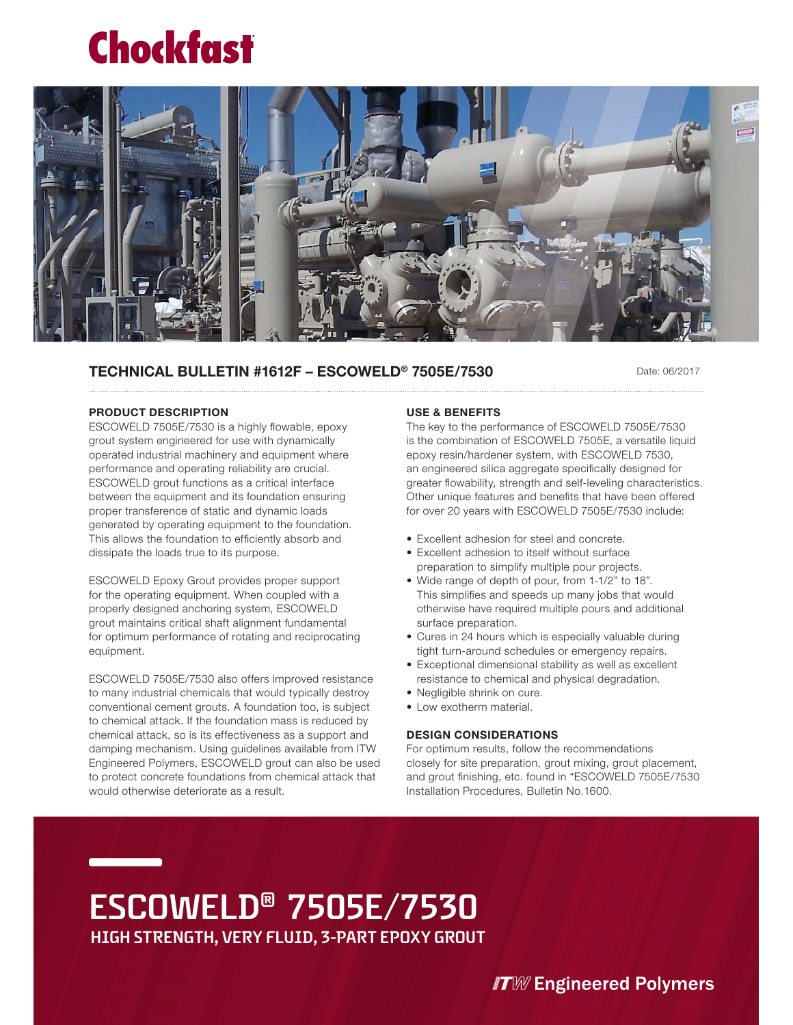## **Chockfast**



### **TECHNICAL BULLETIN #1612F – ESCOWELD® 7505E/7530**

Date: 06/2017

#### **PRODUCT DESCRIPTION**

ESCOWELD 7505E/7530 is a highly flowable, epoxy grout system engineered for use with dynamically operated industrial machinery and equipment where performance and operating reliability are crucial. ESCOWELD grout functions as a critical interface between the equipment and its foundation ensuring proper transference of static and dynamic loads generated by operating equipment to the foundation. This allows the foundation to efficiently absorb and dissipate the loads true to its purpose.

ESCOWELD Epoxy Grout provides proper support for the operating equipment. When coupled with a properly designed anchoring system, ESCOWELD grout maintains critical shaft alignment fundamental for optimum performance of rotating and reciprocating equipment.

ESCOWELD 7505E/7530 also offers improved resistance to many industrial chemicals that would typically destroy conventional cement grouts. A foundation too, is subject to chemical attack. If the foundation mass is reduced by chemical attack, so is its effectiveness as a support and damping mechanism. Using guidelines available from ITW Engineered Polymers, ESCOWELD grout can also be used to protect concrete foundations from chemical attack that would otherwise deteriorate as a result.

### **USE & BENEFITS**

The key to the performance of ESCOWELD 7505E/7530 is the combination of ESCOWELD 7505E, a versatile liquid epoxy resin/hardener system, with ESCOWELD 7530, an engineered silica aggregate specifically designed for greater flowability, strength and self-leveling characteristics. Other unique features and benefits that have been offered for over 20 years with ESCOWELD 7505E/7530 include:

- Excellent adhesion for steel and concrete.
- Excellent adhesion to itself without surface preparation to simplify multiple pour projects.
- Wide range of depth of pour, from 1-1/2" to 18". This simplifies and speeds up many jobs that would otherwise have required multiple pours and additional surface preparation.
- Cures in 24 hours which is especially valuable during tight turn-around schedules or emergency repairs.
- Exceptional dimensional stability as well as excellent resistance to chemical and physical degradation.
- Negligible shrink on cure.
- Low exotherm material.

### **DESIGN CONSIDERATIONS**

For optimum results, follow the recommendations closely for site preparation, grout mixing, grout placement, and grout finishing, etc. found in "ESCOWELD 7505E/7530 Installation Procedures, Bulletin No.1600.

### **ESCOWELD® 7505E/7530 HIGH STRENGTH, VERY FLUID, 3-PART EPOXY GROUT**